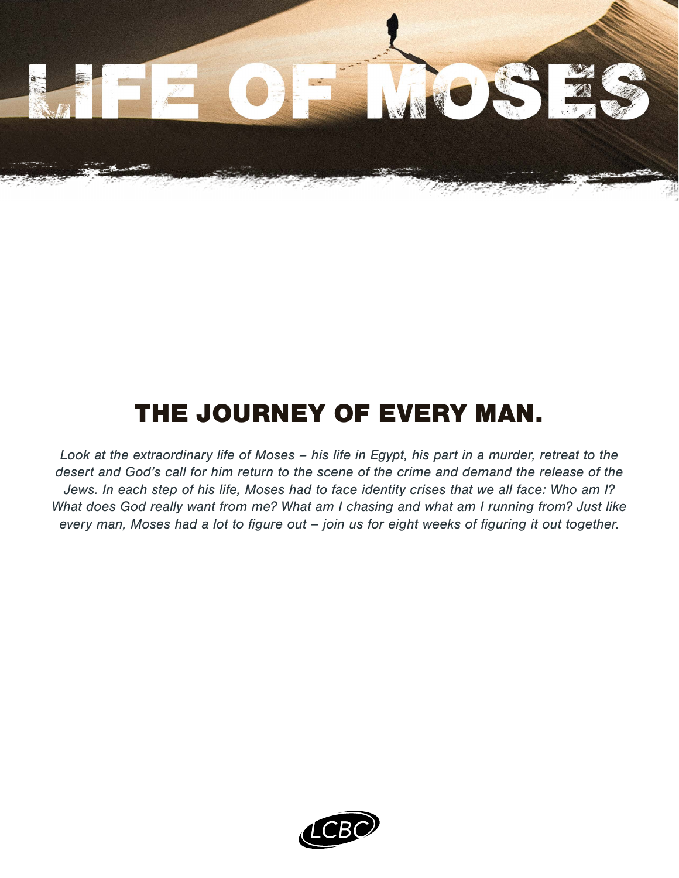

### THE JOURNEY OF EVERY MAN.

*Look at the extraordinary life of Moses – his life in Egypt, his part in a murder, retreat to the desert and God's call for him return to the scene of the crime and demand the release of the Jews. In each step of his life, Moses had to face identity crises that we all face: Who am I? What does God really want from me? What am I chasing and what am I running from? Just like every man, Moses had a lot to figure out – join us for eight weeks of figuring it out together.*

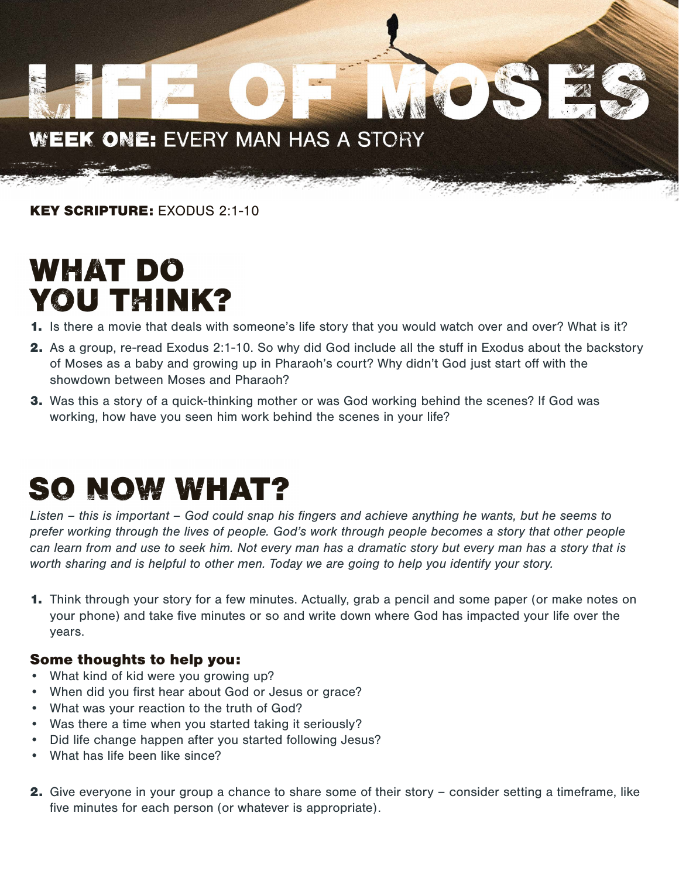#### WEEK ONE: EVERY MAN HAS A STORY

KEY SCRIPTURE: EXODUS 2:1-10

## **WHAT DO YOU THINK?**

- 1. Is there a movie that deals with someone's life story that you would watch over and over? What is it?
- 2. As a group, re-read Exodus 2:1-10. So why did God include all the stuff in Exodus about the backstory of Moses as a baby and growing up in Pharaoh's court? Why didn't God just start off with the showdown between Moses and Pharaoh?
- **3.** Was this a story of a quick-thinking mother or was God working behind the scenes? If God was working, how have you seen him work behind the scenes in your life?

## **SO NOW WHAT?**

*Listen – this is important – God could snap his fingers and achieve anything he wants, but he seems to prefer working through the lives of people. God's work through people becomes a story that other people can learn from and use to seek him. Not every man has a dramatic story but every man has a story that is worth sharing and is helpful to other men. Today we are going to help you identify your story.*

1. Think through your story for a few minutes. Actually, grab a pencil and some paper (or make notes on your phone) and take five minutes or so and write down where God has impacted your life over the years.

#### Some thoughts to help you:

- What kind of kid were you growing up?
- When did you first hear about God or Jesus or grace?
- What was your reaction to the truth of God?
- Was there a time when you started taking it seriously?
- Did life change happen after you started following Jesus?
- What has life been like since?
- 2. Give everyone in your group a chance to share some of their story consider setting a timeframe, like five minutes for each person (or whatever is appropriate).